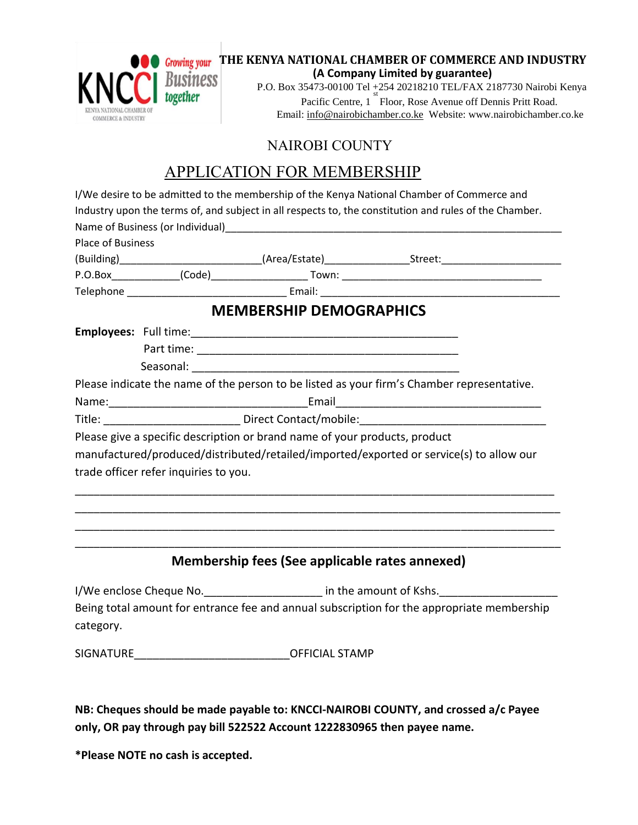

## NAIROBI COUNTY

# APPLICATION FOR MEMBERSHIP

|                   |                                       | I/We desire to be admitted to the membership of the Kenya National Chamber of Commerce and |                                                                                                        |  |  |  |  |
|-------------------|---------------------------------------|--------------------------------------------------------------------------------------------|--------------------------------------------------------------------------------------------------------|--|--|--|--|
|                   |                                       |                                                                                            | Industry upon the terms of, and subject in all respects to, the constitution and rules of the Chamber. |  |  |  |  |
|                   |                                       |                                                                                            |                                                                                                        |  |  |  |  |
| Place of Business |                                       |                                                                                            |                                                                                                        |  |  |  |  |
|                   |                                       |                                                                                            | (Building)___________________________(Area/Estate)_________________Street:_________________________    |  |  |  |  |
|                   |                                       |                                                                                            |                                                                                                        |  |  |  |  |
|                   |                                       |                                                                                            |                                                                                                        |  |  |  |  |
|                   |                                       | <b>MEMBERSHIP DEMOGRAPHICS</b>                                                             |                                                                                                        |  |  |  |  |
|                   |                                       |                                                                                            |                                                                                                        |  |  |  |  |
|                   |                                       |                                                                                            |                                                                                                        |  |  |  |  |
|                   |                                       |                                                                                            |                                                                                                        |  |  |  |  |
|                   |                                       |                                                                                            | Please indicate the name of the person to be listed as your firm's Chamber representative.             |  |  |  |  |
|                   |                                       |                                                                                            |                                                                                                        |  |  |  |  |
|                   |                                       |                                                                                            |                                                                                                        |  |  |  |  |
|                   |                                       | Please give a specific description or brand name of your products, product                 |                                                                                                        |  |  |  |  |
|                   |                                       |                                                                                            | manufactured/produced/distributed/retailed/imported/exported or service(s) to allow our                |  |  |  |  |
|                   | trade officer refer inquiries to you. |                                                                                            |                                                                                                        |  |  |  |  |
|                   |                                       |                                                                                            |                                                                                                        |  |  |  |  |
|                   |                                       |                                                                                            |                                                                                                        |  |  |  |  |
|                   |                                       |                                                                                            |                                                                                                        |  |  |  |  |
|                   |                                       |                                                                                            |                                                                                                        |  |  |  |  |
|                   |                                       | Membership fees (See applicable rates annexed)                                             |                                                                                                        |  |  |  |  |
|                   |                                       |                                                                                            | I/We enclose Cheque No. ______________________ in the amount of Kshs. _____________________________    |  |  |  |  |
| category.         |                                       |                                                                                            | Being total amount for entrance fee and annual subscription for the appropriate membership             |  |  |  |  |

SIGNATURE **SIGNATURE SIGNATURE** 

**NB: Cheques should be made payable to: KNCCI-NAIROBI COUNTY, and crossed a/c Payee only, OR pay through pay bill 522522 Account 1222830965 then payee name.**

**\*Please NOTE no cash is accepted.**